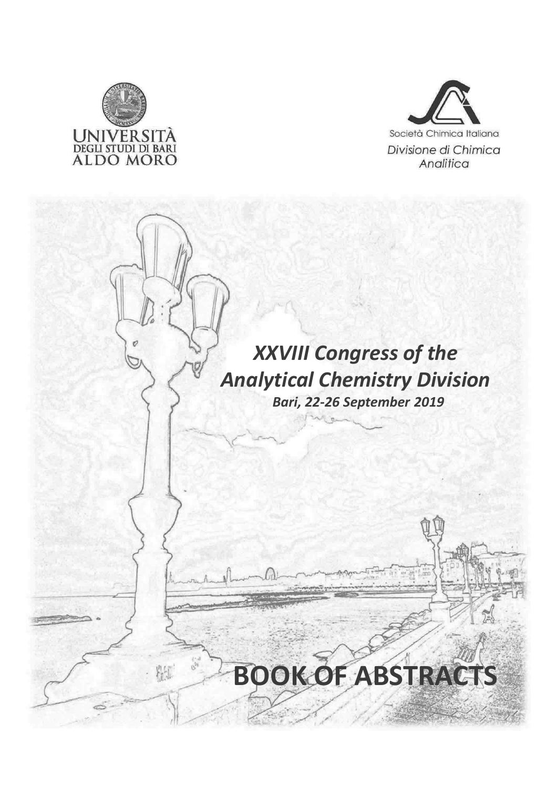

粘土



### XXVIII Congress of the Analytical Chemistry Division Bari, 22-26 September 2019

# BOOK OF ABSTRACTS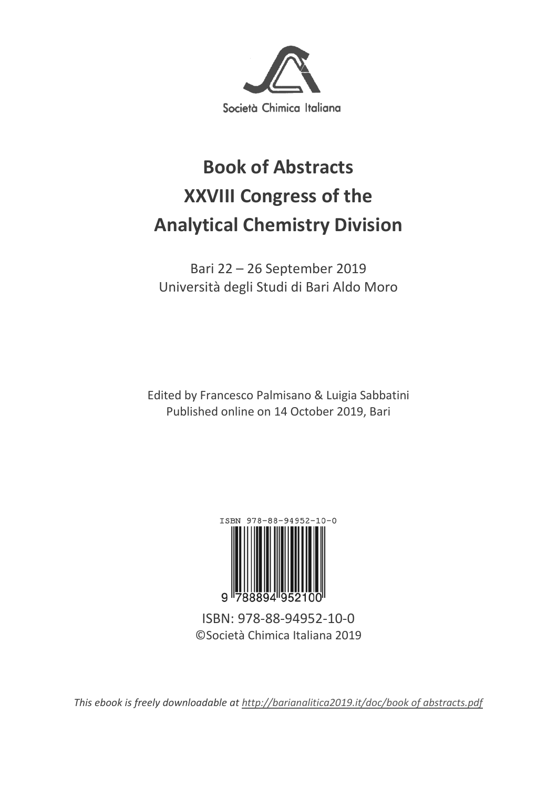

## **Book of Abstracts XXVIII Congress of the Analytical Chemistry Division**

Bari 22 – 26 September 2019 Università degli Studi di Bari Aldo Moro

Edited by Francesco Palmisano & Luigia Sabbatini Published online on 14 October 2019, Bari



ISBN: 978-88-94952-10-0 ©Società Chimica Italiana 2019

*This ebook is freely downloadable at http://barianalitica2019.it/doc/book of abstracts.pdf*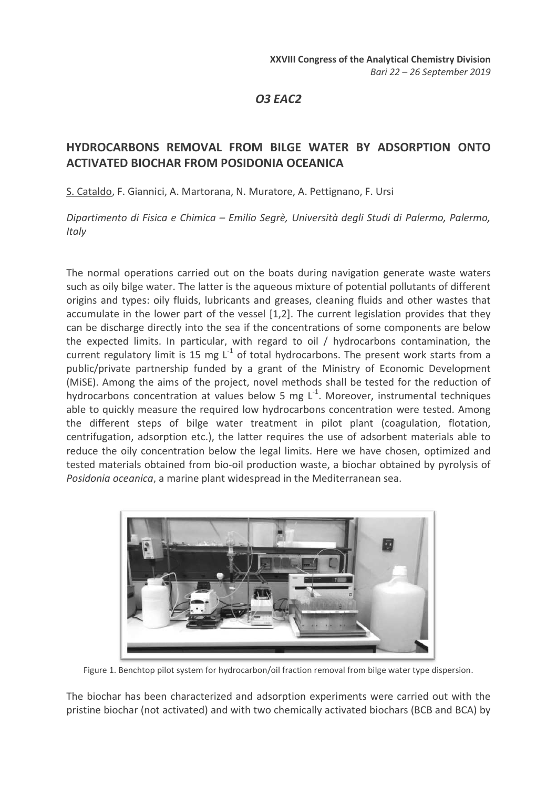O3 EAC2

#### HYDROCARBONS REMOVAL FROM BILGE WATER BY ADSORPTION ONTO ACTIVATED BIOCHAR FROM POSIDONIA OCEANICA

S. Cataldo, F. Giannici, A. Martorana, N. Muratore, A. Pettignano, F. Ursi

Dipartimento di Fisica e Chimica – Emilio Segrè, Università degli Studi di Palermo, Palermo, **Italy** 

The normal operations carried out on the boats during navigation generate waste waters such as oily bilge water. The latter is the aqueous mixture of potential pollutants of different origins and types: oily fluids, lubricants and greases, cleaning fluids and other wastes that accumulate in the lower part of the vessel [1,2]. The current legislation provides that they can be discharge directly into the sea if the concentrations of some components are below the expected limits. In particular, with regard to oil / hydrocarbons contamination, the current regulatory limit is 15 mg  $L^{-1}$  of total hydrocarbons. The present work starts from a public/private partnership funded by a grant of the Ministry of Economic Development (MiSE). Among the aims of the project, novel methods shall be tested for the reduction of hydrocarbons concentration at values below 5 mg  $L^{-1}$ . Moreover, instrumental techniques able to quickly measure the required low hydrocarbons concentration were tested. Among the different steps of bilge water treatment in pilot plant (coagulation, flotation, centrifugation, adsorption etc.), the latter requires the use of adsorbent materials able to reduce the oily concentration below the legal limits. Here we have chosen, optimized and tested materials obtained from bio-oil production waste, a biochar obtained by pyrolysis of Posidonia oceanica, a marine plant widespread in the Mediterranean sea.



Figure 1. Benchtop pilot system for hydrocarbon/oil fraction removal from bilge water type dispersion.

The biochar has been characterized and adsorption experiments were carried out with the pristine biochar (not activated) and with two chemically activated biochars (BCB and BCA) by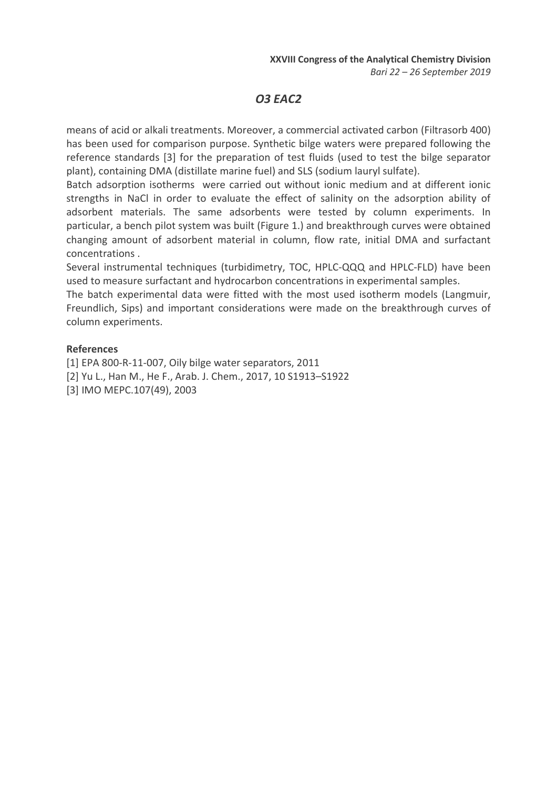#### O3 EAC2

means of acid or alkali treatments. Moreover, a commercial activated carbon (Filtrasorb 400) has been used for comparison purpose. Synthetic bilge waters were prepared following the reference standards [3] for the preparation of test fluids (used to test the bilge separator plant), containing DMA (distillate marine fuel) and SLS (sodium lauryl sulfate).

Batch adsorption isotherms were carried out without ionic medium and at different ionic strengths in NaCl in order to evaluate the effect of salinity on the adsorption ability of adsorbent materials. The same adsorbents were tested by column experiments. In particular, a bench pilot system was built (Figure 1.) and breakthrough curves were obtained changing amount of adsorbent material in column, flow rate, initial DMA and surfactant concentrations .

Several instrumental techniques (turbidimetry, TOC, HPLC-QQQ and HPLC-FLD) have been used to measure surfactant and hydrocarbon concentrations in experimental samples.

The batch experimental data were fitted with the most used isotherm models (Langmuir, Freundlich, Sips) and important considerations were made on the breakthrough curves of column experiments.

#### References

[1] EPA 800-R-11-007, Oily bilge water separators, 2011 [2] Yu L., Han M., He F., Arab. J. Chem., 2017, 10 S1913–S1922 [3] IMO MEPC.107(49), 2003